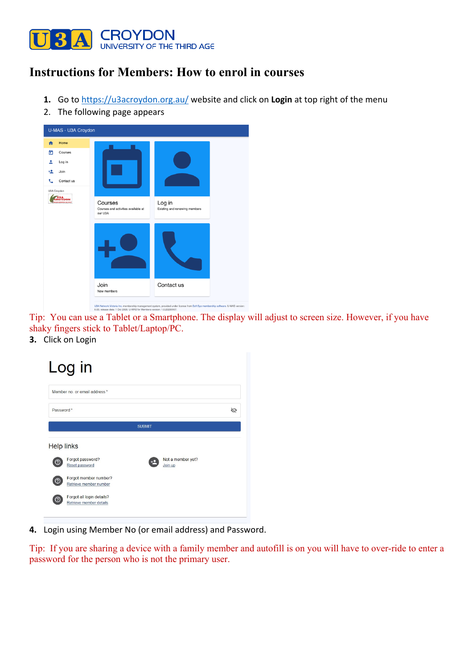

## **Instructions for Members: How to enrol in courses**

- **1.** Go to https://u3acroydon.org.au/ website and click on **Login** at top right of the menu
- 2. The following page appears



Tip: You can use a Tablet or a Smartphone. The display will adjust to screen size. However, if you have shaky fingers stick to Tablet/Laptop/PC.

**3.** Click on Login



**4.** Login using Member No (or email address) and Password.

Tip: If you are sharing a device with a family member and autofill is on you will have to over-ride to enter a password for the person who is not the primary user.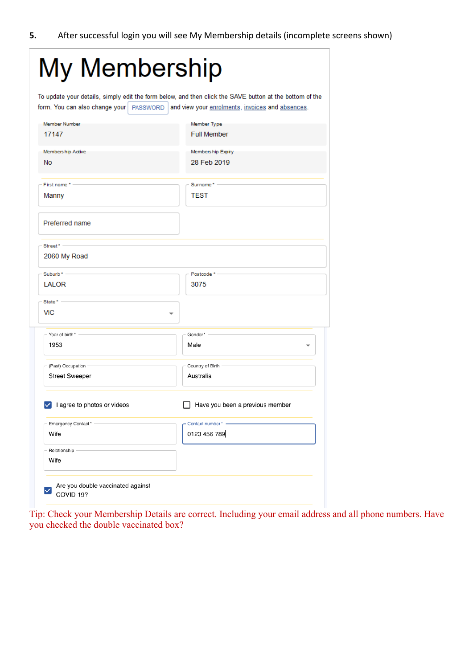| My Membership                                  |                                                                                                                                                             |
|------------------------------------------------|-------------------------------------------------------------------------------------------------------------------------------------------------------------|
| form. You can also change your   PASSWORD      | To update your details, simply edit the form below, and then click the SAVE button at the bottom of the<br>and view your enrolments, invoices and absences. |
| Member Number<br>17147                         | Member Type<br><b>Full Member</b>                                                                                                                           |
| Members hip Active<br><b>No</b>                | Members hip Expiry<br>28 Feb 2019                                                                                                                           |
| First name * -<br>Manny                        | Surname* -<br><b>TEST</b>                                                                                                                                   |
| Preferred name                                 |                                                                                                                                                             |
| $Street^*$ -<br>2060 My Road                   |                                                                                                                                                             |
| Suburb $* -$                                   | Postcode *-                                                                                                                                                 |
| LALOR                                          | 3075                                                                                                                                                        |
| State * -<br>VIC                               |                                                                                                                                                             |
| Year of birth*                                 | Gender* -                                                                                                                                                   |
| 1953                                           | Male                                                                                                                                                        |
| (Past) Occupation<br><b>Street Sweeper</b>     | Country of Birth<br>Australia                                                                                                                               |
| $\vee$ I agree to photos or videos             | Have you been a previous member                                                                                                                             |
| Emergency Contact*                             | Contact number* -                                                                                                                                           |
| Wife                                           | 0123 456 789                                                                                                                                                |
| Relationship -<br>Wife                         |                                                                                                                                                             |
| Are you double vaccinated against<br>COVID-19? |                                                                                                                                                             |

Tip: Check your Membership Details are correct. Including your email address and all phone numbers. Have you checked the double vaccinated box?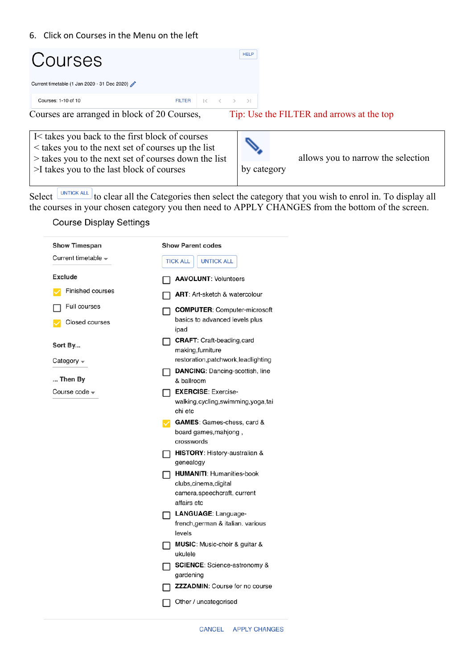### 6. Click on Courses in the Menu on the left

| Courses                                           |               |                                       | <b>HELP</b>                               |  |  |  |  |  |  |  |  |  |
|---------------------------------------------------|---------------|---------------------------------------|-------------------------------------------|--|--|--|--|--|--|--|--|--|
| Current timetable (1 Jan 2020 - 31 Dec 2020)      |               |                                       |                                           |  |  |  |  |  |  |  |  |  |
| Courses: 1-10 of 10                               | <b>FILTER</b> | $\langle \rangle$ $\rangle$ $\rangle$ |                                           |  |  |  |  |  |  |  |  |  |
| Courses are arranged in block of 20 Courses,      |               |                                       | Tip: Use the FILTER and arrows at the top |  |  |  |  |  |  |  |  |  |
|                                                   |               |                                       |                                           |  |  |  |  |  |  |  |  |  |
| I is takes you back to the first block of courses |               |                                       |                                           |  |  |  |  |  |  |  |  |  |

| $\vert$ < takes you to the next set of courses up the list<br>$\geq$ takes you to the next set of courses down the list |             | allows you to narrow the selection |
|-------------------------------------------------------------------------------------------------------------------------|-------------|------------------------------------|
| >I takes you to the last block of courses                                                                               | by category |                                    |

Select **UNTICK ALL** to clear all the Categories then select the category that you wish to enrol in. To display all the courses in your chosen category you then need to APPLY CHANGES from the bottom of the screen.

## **Course Display Settings**

| <b>Show Timespan</b>                       | <b>Show Parent codes</b>                                     |
|--------------------------------------------|--------------------------------------------------------------|
| Current timetable $\overline{\phantom{a}}$ | <b>TICK ALL</b><br><b>UNTICK ALL</b>                         |
| <b>Exclude</b>                             | <b>AAVOLUNT: Volunteers</b>                                  |
| Finished courses                           | <b>ART:</b> Art-sketch & watercolour                         |
| Full courses                               | <b>COMPUTER:</b> Computer-microsoft                          |
| Closed courses                             | basics to advanced levels plus<br>ipad                       |
| Sort By                                    | <b>CRAFT:</b> Craft-beading, card<br>ΙI<br>making, furniture |
| Category $\sim$                            | restoration, patchwork, leadlighting                         |
| Then By                                    | <b>DANCING:</b> Dancing-scottish, line<br>& ballroom         |
| Course code –                              | <b>EXERCISE: Exercise-</b>                                   |
|                                            | walking,cycling,swimming,yoga,tai<br>chi etc                 |
|                                            | GAMES: Games-chess, card &                                   |
|                                            | board games, mahjong,                                        |
|                                            | crosswords<br>HISTORY: History-australian &                  |
|                                            | genealogy                                                    |
|                                            | <b>HUMANITI: Humanities-book</b>                             |
|                                            | clubs, cinema, digital                                       |
|                                            | camera, speechcraft, current<br>affairs etc                  |
|                                            | LANGUAGE: Language-                                          |
|                                            | french, german & italian. various                            |
|                                            | levels                                                       |
|                                            | MUSIC: Music-choir & guitar &<br>ukulele                     |
|                                            | <b>SCIENCE:</b> Science-astronomy &                          |
|                                            | gardening                                                    |
|                                            | <b>ZZZADMIN: Course for no course</b>                        |
|                                            | Other / uncategorised                                        |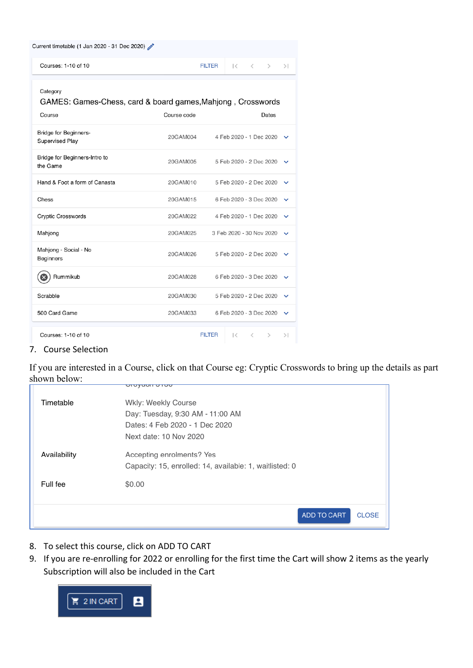| Current timetable (1 Jan 2020 - 31 Dec 2020)                                                              |          |                          |                          |    |               |              |  |  |  |
|-----------------------------------------------------------------------------------------------------------|----------|--------------------------|--------------------------|----|---------------|--------------|--|--|--|
| Courses: 1-10 of 10                                                                                       |          | <b>FILTER</b>            | にっくし                     |    | $\rightarrow$ | >1           |  |  |  |
| Category<br>GAMES: Games-Chess, card & board games, Mahjong, Crosswords<br>Course<br>Course code<br>Dates |          |                          |                          |    |               |              |  |  |  |
| <b>Bridge for Beginners-</b><br>Supervised Play                                                           | 20GAM004 |                          | 4 Feb 2020 - 1 Dec 2020  |    |               | $\checkmark$ |  |  |  |
| Bridge for Beginners-Intro to<br>the Game                                                                 | 20GAM005 |                          | 5 Feb 2020 - 2 Dec 2020  |    |               | $\checkmark$ |  |  |  |
| Hand & Foot a form of Canasta                                                                             | 20GAM010 |                          | 5 Feb 2020 - 2 Dec 2020  |    |               | $\checkmark$ |  |  |  |
| Chess                                                                                                     | 20GAM015 |                          | 6 Feb 2020 - 3 Dec 2020  |    |               | $\checkmark$ |  |  |  |
| <b>Cryptic Crosswords</b>                                                                                 | 20GAM022 |                          | 4 Feb 2020 - 1 Dec 2020  |    |               | $\checkmark$ |  |  |  |
| Mahjong                                                                                                   | 20GAM025 | 3 Feb 2020 - 30 Nov 2020 |                          |    |               | $\checkmark$ |  |  |  |
| Mahjong - Social - No<br><b>Beginners</b>                                                                 | 20GAM026 |                          | 5 Feb 2020 - 2 Dec 2020  |    |               | $\checkmark$ |  |  |  |
| Rummikub                                                                                                  | 20GAM028 |                          | 6 Feb 2020 - 3 Dec 2020  |    |               |              |  |  |  |
| Scrabble                                                                                                  | 20GAM030 |                          | 5 Feb 2020 - 2 Dec 2020  |    |               | $\checkmark$ |  |  |  |
| 500 Card Game                                                                                             | 20GAM033 |                          | 6 Feb 2020 - 3 Dec 2020  |    |               | $\checkmark$ |  |  |  |
| Courses: 1-10 of 10                                                                                       |          | <b>FILTER</b>            | $\overline{\mathcal{K}}$ | くー | $\rightarrow$ | >1           |  |  |  |

## 7. Course Selection

If you are interested in a Course, click on that Course eg: Cryptic Crosswords to bring up the details as part shown below: ordyuon o roo

| Timetable    | Wkly: Weekly Course                                     |
|--------------|---------------------------------------------------------|
|              | Day: Tuesday, 9:30 AM - 11:00 AM                        |
|              | Dates: 4 Feb 2020 - 1 Dec 2020                          |
|              | Next date: 10 Nov 2020                                  |
| Availability | Accepting enrolments? Yes                               |
|              | Capacity: 15, enrolled: 14, available: 1, waitlisted: 0 |
| Full fee     | \$0.00                                                  |
|              |                                                         |
|              | <b>ADD TO CART</b><br><b>CLOSE</b>                      |
|              |                                                         |

- 8. To select this course, click on ADD TO CART
- 9. If you are re-enrolling for 2022 or enrolling for the first time the Cart will show 2 items as the yearly Subscription will also be included in the Cart

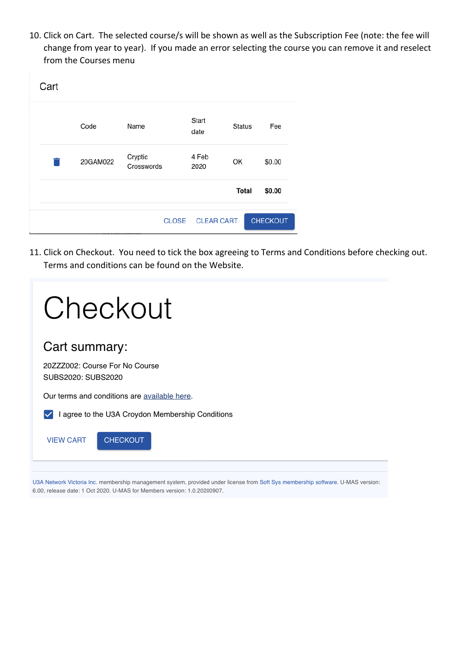10. Click on Cart. The selected course/s will be shown as well as the Subscription Fee (note: the fee will change from year to year). If you made an error selecting the course you can remove it and reselect from the Courses menu

| Cart |          |                       |                   |               |                 |
|------|----------|-----------------------|-------------------|---------------|-----------------|
|      | Code     | Name                  | Start<br>date     | <b>Status</b> | Fee             |
|      | 20GAM022 | Cryptic<br>Crosswords | 4 Feb<br>2020     | OK            | \$0.00          |
|      |          |                       |                   | <b>Total</b>  | \$0.00          |
|      |          | <b>CLOSE</b>          | <b>CLEAR CART</b> |               | <b>CHECKOUT</b> |

11. Click on Checkout. You need to tick the box agreeing to Terms and Conditions before checking out. Terms and conditions can be found on the Website.

| Checkout                                             |
|------------------------------------------------------|
| Cart summary:                                        |
| 20ZZZ002: Course For No Course<br>SUBS2020: SUBS2020 |
| Our terms and conditions are available here.         |
| I agree to the U3A Croydon Membership Conditions     |
| <b>CHECKOUT</b><br><b>VIEW CART</b>                  |
|                                                      |

U3A Network Victoria Inc. membership management system, provided under license from Soft Sys membership software. U-MAS version: 6.00, release date: 1 Oct 2020. U-MAS for Members version: 1.0.20200907.